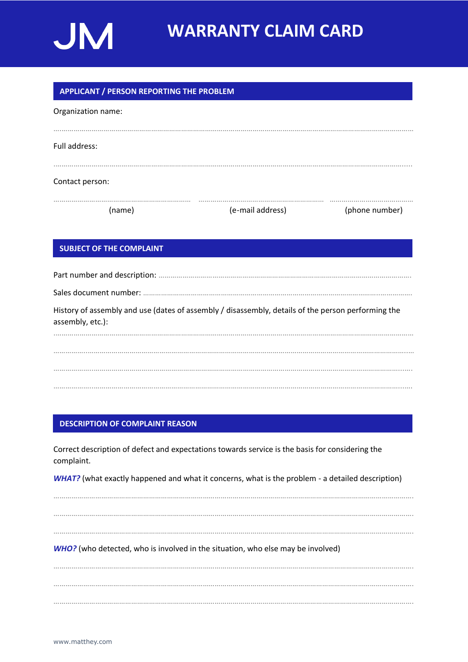

# **WARRANTY CLAIM CARD**

# **APPLICANT / PERSON REPORTING THE PROBLEM**

| (name)             | (e-mail address) | (phone number) |  |  |  |  |  |  |  |  |  |  |  |
|--------------------|------------------|----------------|--|--|--|--|--|--|--|--|--|--|--|
| Contact person:    |                  |                |  |  |  |  |  |  |  |  |  |  |  |
|                    |                  |                |  |  |  |  |  |  |  |  |  |  |  |
| Full address:      |                  |                |  |  |  |  |  |  |  |  |  |  |  |
|                    |                  |                |  |  |  |  |  |  |  |  |  |  |  |
| Organization name: |                  |                |  |  |  |  |  |  |  |  |  |  |  |

# **SUBJECT OF THE COMPLAINT**

Part number and description: ………………………………………………………………………………………………………………. Sales document number: ………………………………………………………………………………………………………..……………. History of assembly and use (dates of assembly / disassembly, details of the person performing the assembly, etc.): .……………………………………………………………………………………………………………………………………………………………… ………………..………………………………………………………………………………………………………………………………………...….

### **DESCRIPTION OF COMPLAINT REASON**

Correct description of defect and expectations towards service is the basis for considering the complaint.

*WHAT?* (what exactly happened and what it concerns, what is the problem - a detailed description)

………………………………………………………………………………………………………………………………………………………………. ……………………………………………………………………………………………………………………………………………………………….

*WHO?* (who detected, who is involved in the situation, who else may be involved)

………………………………………………………………………………………………………………………………………………………………. ………………………………………………………………………………………………………………………………………………………………. ……………………………………………………………………………………………………………………………………………………………….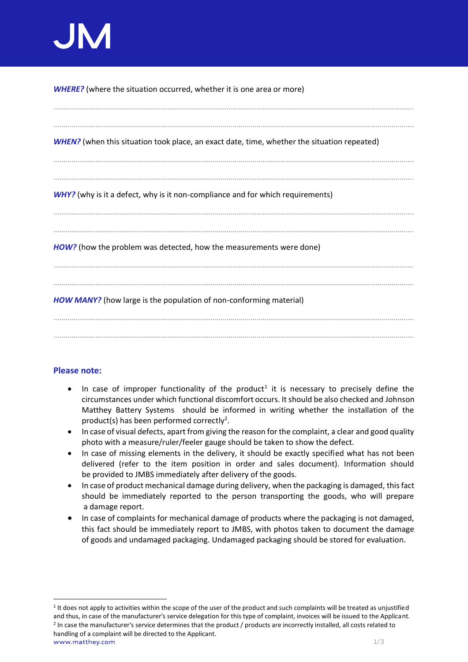*WHERE?* (where the situation occurred, whether it is one area or more)

………………………………………………………………………………………………………………………………………………………………. ………………………………………………………………………………………………………………………………………………………………. *WHEN?* (when this situation took place, an exact date, time, whether the situation repeated) ………………………………………………………………………………………………………………………………………………………………. *WHY?* (why is it a defect, why is it non-compliance and for which requirements) ………………………………………………………………………………………………………………………………………………………………. ………………………………………………………………………………………………………………………………………………………………. *HOW?* (how the problem was detected, how the measurements were done) ………………………………………………………………………………………………………………………………………………………………. *HOW MANY?* (how large is the population of non-conforming material) ……………………………………………………………………………………………………………………………………………………………….

# **Please note:**

- In case of improper functionality of the product<sup>1</sup> it is necessary to precisely define the circumstances under which functional discomfort occurs. It should be also checked and Johnson Matthey Battery Systems should be informed in writing whether the installation of the product(s) has been performed correctly<sup>2</sup>.
- In case of visual defects, apart from giving the reason for the complaint, a clear and good quality photo with a measure/ruler/feeler gauge should be taken to show the defect.
- In case of missing elements in the delivery, it should be exactly specified what has not been delivered (refer to the item position in order and sales document). Information should be provided to JMBS immediately after delivery of the goods.
- In case of product mechanical damage during delivery, when the packaging is damaged, this fact should be immediately reported to the person transporting the goods, who will prepare a damage report.
- In case of complaints for mechanical damage of products where the packaging is not damaged, this fact should be immediately report to JMBS, with photos taken to document the damage of goods and undamaged packaging. Undamaged packaging should be stored for evaluation.

tthey.com and the set of the set of the set of the set of the set of the set of the set of the set of the set o <sup>1</sup> It does not apply to activities within the scope of the user of the product and such complaints will be treated as unjustified and thus, in case of the manufacturer's service delegation for this type of complaint, invoices will be issued to the Applicant. <sup>2</sup> In case the manufacturer's service determines that the product / products are incorrectly installed, all costs related to handling of a complaint will be directed to the Applicant.